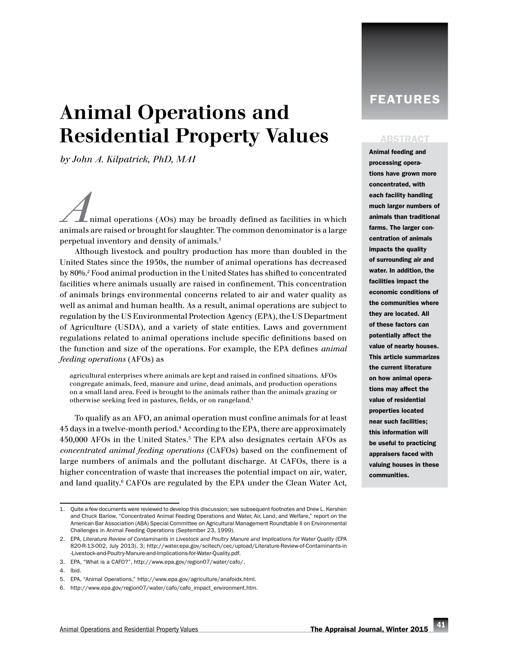# Animal Operations and Residential Property Values

*by John A. Kilpatrick, PhD, MAI*

*A*nimal operations (AOs) may be broadly defined as facilities in which animals are raised or brought for slaughter. The common denominator is a large perpetual inventory and density of animals.1

Although livestock and poultry production has more than doubled in the United States since the 1950s, the number of animal operations has decreased by 80%.2 Food animal production in the United States has shifted to concentrated facilities where animals usually are raised in confinement. This concentration of animals brings environmental concerns related to air and water quality as well as animal and human health. As a result, animal operations are subject to regulation by the US Environmental Protection Agency (EPA), the US Department of Agriculture (USDA), and a variety of state entities. Laws and government regulations related to animal operations include specific definitions based on the function and size of the operations. For example, the EPA defines *animal feeding operations* (AFOs) as

agricultural enterprises where animals are kept and raised in confined situations. AFOs congregate animals, feed, manure and urine, dead animals, and production operations on a small land area. Feed is brought to the animals rather than the animals grazing or otherwise seeking feed in pastures, fields, or on rangeland.3

To qualify as an AFO, an animal operation must confine animals for at least 45 days in a twelve-month period.4 According to the EPA, there are approximately 450,000 AFOs in the United States.<sup>5</sup> The EPA also designates certain AFOs as *concentrated animal feeding operations* (CAFOs) based on the confinement of large numbers of animals and the pollutant discharge. At CAFOs, there is a higher concentration of waste that increases the potential impact on air, water, and land quality.6 CAFOs are regulated by the EPA under the Clean Water Act,

# **FEATURES**

#### **ABSTRACT**

Animal feeding and processing operations have grown more concentrated, with each facility handling much larger numbers of animals than traditional farms. The larger concentration of animals impacts the quality of surrounding air and water. In addition, the facilities impact the economic conditions of the communities where they are located. All of these factors can potentially affect the value of nearby houses. This article summarizes the current literature on how animal operations may affect the value of residential properties located near such facilities; this information will be useful to practicing appraisers faced with valuing houses in these communities.

<sup>1.</sup> Quite a few documents were reviewed to develop this discussion; see subsequent footnotes and Drew L. Kershen and Chuck Barlow, "Concentrated Animal Feeding Operations and Water, Air, Land, and Welfare," report on the American Bar Association (ABA) Special Committee on Agricultural Management Roundtable II on Environmental Challenges in Animal Feeding Operations (September 23, 1999).

<sup>2.</sup> EPA, *Literature Review of Contaminants in Livestock and Poultry Manure and Implications for Water Quality* (EPA 820-R-13-002, July 2013), 3; [http://water.epa.gov/scitech/cec/upload/Literature-Review-of-Contaminants-in](http://water.epa.gov/scitech/cec/upload/Literature-Review-of-Contaminants-in-Livestock-and-Poultry-Manure-and-Implications-for-Water-Quality.pdf) [-Livestock-and-Poultry-Manure-and-Implications-for-Water-Quality.pdf](http://water.epa.gov/scitech/cec/upload/Literature-Review-of-Contaminants-in-Livestock-and-Poultry-Manure-and-Implications-for-Water-Quality.pdf).

<sup>3.</sup> EPA, "What is a CAFO?", [http://www.epa.gov/region07/water/cafo/](http://www.epa.gov/region07/water/cafo).

<sup>4.</sup> Ibid.

<sup>5.</sup> EPA, "Animal Operations," [http://www.epa.gov/agriculture/anafoidx.html.](http://www.epa.gov/agriculture/anafoidx.html)

<sup>6.</sup> [http://www.epa.gov/region07/water/cafo/cafo\\_impact\\_environment.htm.](http://www.epa.gov/region07/water/cafo/cafo_impact_environment.htm)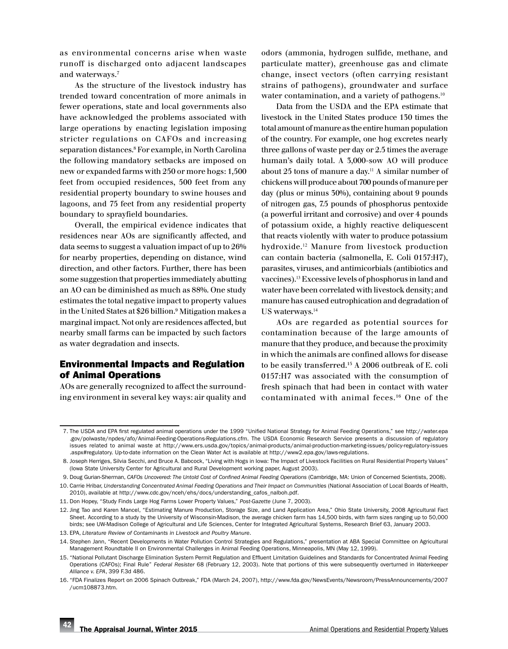as environmental concerns arise when waste runoff is discharged onto adjacent landscapes and waterways.7

As the structure of the livestock industry has trended toward concentration of more animals in fewer operations, state and local governments also have acknowledged the problems associated with large operations by enacting legislation imposing stricter regulations on CAFOs and increasing separation distances.<sup>8</sup> For example, in North Carolina the following mandatory setbacks are imposed on new or expanded farms with 250 or more hogs: 1,500 feet from occupied residences, 500 feet from any residential property boundary to swine houses and lagoons, and 75 feet from any residential property boundary to sprayfield boundaries.

Overall, the empirical evidence indicates that residences near AOs are significantly affected, and data seems to suggest a valuation impact of up to 26% for nearby properties, depending on distance, wind direction, and other factors. Further, there has been some suggestion that properties immediately abutting an AO can be diminished as much as 88%. One study estimates the total negative impact to property values in the United States at \$26 billion.<sup>9</sup> Mitigation makes a marginal impact. Not only are residences affected, but nearby small farms can be impacted by such factors as water degradation and insects.

# Environmental Impacts and Regulation of Animal Operations

AOs are generally recognized to affect the surrounding environment in several key ways: air quality and odors (ammonia, hydrogen sulfide, methane, and particulate matter), greenhouse gas and climate change, insect vectors (often carrying resistant strains of pathogens), groundwater and surface water contamination, and a variety of pathogens.<sup>10</sup>

Data from the USDA and the EPA estimate that livestock in the United States produce 130 times the total amount of manure as the entire human population of the country. For example, one hog excretes nearly three gallons of waste per day or 2.5 times the average human's daily total. A 3,000-sow AO will produce about 25 tons of manure a day.11 A similar number of chickens will produce about 700 pounds of manure per day (plus or minus 30%), containing about 9 pounds of nitrogen gas, 7.5 pounds of phosphorus pentoxide (a powerful irritant and corrosive) and over 4 pounds of potassium oxide, a highly reactive deliquescent that reacts violently with water to produce potassium hydroxide.12 Manure from livestock production can contain bacteria (salmonella, E. Coli 0157:H7), parasites, viruses, and antimicorbials (antibiotics and vaccines).13 Excessive levels of phosphorus in land and water have been correlated with livestock density; and manure has caused eutrophication and degradation of US waterways.<sup>14</sup>

AOs are regarded as potential sources for contamination because of the large amounts of manure that they produce, and because the proximity in which the animals are confined allows for disease to be easily transferred.15 A 2006 outbreak of E. coli 0157:H7 was associated with the consumption of fresh spinach that had been in contact with water contaminated with animal feces.16 One of the

 <sup>7.</sup> The USDA and EPA first regulated animal operations under the 1999 "Unified National Strategy for Animal Feeding Operations," see [http://water.epa](http://water.epa.gov/polwaste/npdes/afo/Animal-Feeding-Operations-Regulations.cfm) [.gov/polwaste/npdes/afo/Animal-Feeding-Operations-Regulations.cfm.](http://water.epa.gov/polwaste/npdes/afo/Animal-Feeding-Operations-Regulations.cfm) The USDA Economic Research Service presents a discussion of regulatory issues related to animal waste at [http://www.ers.usda.gov/topics/animal-products/animal-production-marketing-issues/policy-regulatory-issues](http://www.ers.usda.gov/topics/animal-products/animal-production-marketing-issues/policy-regulatory-issues.aspx#regulatory) [.aspx#regulatory.](http://www.ers.usda.gov/topics/animal-products/animal-production-marketing-issues/policy-regulatory-issues.aspx#regulatory) Up-to-date information on the Clean Water Act is available at [http://www2.epa.gov/laws](http://www2.epa.gov/laws-regulations)-regulations.

 <sup>8.</sup> Joseph Herriges, Silvia Secchi, and Bruce A. Babcock, "Living with Hogs in Iowa: The Impact of Livestock Facilities on Rural Residential Property Values" (Iowa State University Center for Agricultural and Rural Development working paper, August 2003).

 <sup>9.</sup> Doug Gurian-Sherman, *CAFOs Uncovered: The Untold Cost of Confined Animal Feeding Operations* (Cambridge, MA: Union of Concerned Scientists, 2008).

<sup>10.</sup> Carrie Hribar, *Understanding Concentrated Animal Feeding Operations and Their Impact on Communities* (National Association of Local Boards of Health, 2010), available at [http://www.cdc.gov/nceh/ehs/docs/understanding\\_cafos\\_nalboh.pdf](http://www.cdc.gov/nceh/ehs/docs/understanding_cafos_nalboh.pdf).

<sup>11.</sup> Don Hopey, "Study Finds Large Hog Farms Lower Property Values," *Post-Gazette* (June 7, 2003).

<sup>12.</sup> Jing Tao and Karen Mancel, "Estimating Manure Production, Storage Size, and Land Application Area," Ohio State University, 2008 Agricultural Fact Sheet. According to a study by the University of Wisconsin-Madison, the average chicken farm has 14,500 birds, with farm sizes ranging up to 50,000 birds; see UW-Madison College of Agricultural and Life Sciences, Center for Integrated Agricultural Systems, Research Brief 63, January 2003.

<sup>13.</sup> EPA, *Literature Review of Contaminants in Livestock and Poultry Manure*.

<sup>14.</sup> Stephen Jann, "Recent Developments in Water Pollution Control Strategies and Regulations," presentation at ABA Special Committee on Agricultural Management Roundtable II on Environmental Challenges in Animal Feeding Operations, Minneapolis, MN (May 12, 1999).

<sup>15.</sup> "National Pollutant Discharge Elimination System Permit Regulation and Effluent Limitation Guidelines and Standards for Concentrated Animal Feeding Operations (CAFOs); Final Rule" *Federal Resister* 68 (February 12, 2003). Note that portions of this were subsequently overturned in *Waterkeeper Alliance v. EPA*, 399 F.3d 486.

<sup>16.</sup> "FDA Finalizes Report on 2006 Spinach Outbreak," FDA (March 24, 2007), [http://www.fda.gov/NewsEvents/Newsroom/PressAnnouncements/2007](http://www.fda.gov/NewsEvents/Newsroom/PressAnnouncements/2007/ucm108873.htm) [/ucm108873.htm.](http://www.fda.gov/NewsEvents/Newsroom/PressAnnouncements/2007/ucm108873.htm)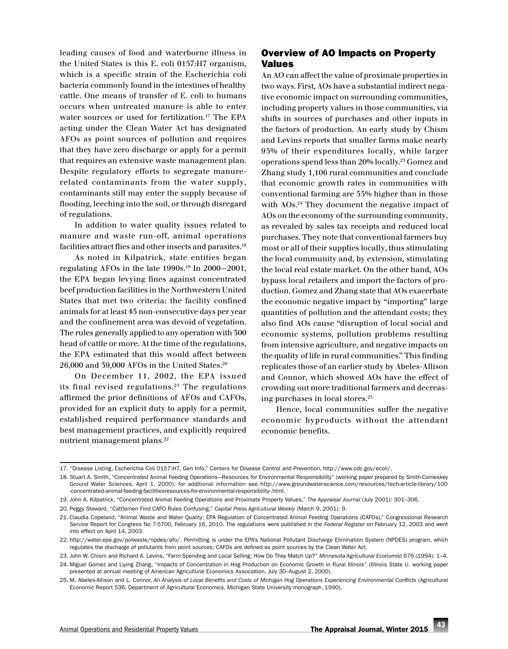leading causes of food and waterborne illness in the United States is this E. coli 0157:H7 organism, which is a specific strain of the Escherichia coli bacteria commonly found in the intestines of healthy cattle. One means of transfer of E. coli to humans occurs when untreated manure is able to enter water sources or used for fertilization.<sup>17</sup> The EPA acting under the Clean Water Act has designated AFOs as point sources of pollution and requires that they have zero discharge or apply for a permit that requires an extensive waste management plan. Despite regulatory efforts to segregate manurerelated contaminants from the water supply, contaminants still may enter the supply because of flooding, leeching into the soil, or through disregard of regulations.

In addition to water quality issues related to manure and waste run-off, animal operations facilities attract flies and other insects and parasites.<sup>18</sup>

As noted in Kilpatrick, state entities began regulating AFOs in the late 1990s.19 In 2000–2001, the EPA began levying fines against concentrated beef production facilities in the Northwestern United States that met two criteria: the facility confined animals for at least 45 non-consecutive days per year and the confinement area was devoid of vegetation. The rules generally applied to any operation with 300 head of cattle or more. At the time of the regulations, the EPA estimated that this would affect between 26,000 and 39,000 AFOs in the United States.20

On December 11, 2002, the EPA issued its final revised regulations. $21$  The regulations affirmed the prior definitions of AFOs and CAFOs, provided for an explicit duty to apply for a permit, established required performance standards and best management practices, and explicitly required nutrient management plans.22

# Overview of AO Impacts on Property Values

An AO can affect the value of proximate properties in two ways. First, AOs have a substantial indirect negative economic impact on surrounding communities, including property values in those communities, via shifts in sources of purchases and other inputs in the factors of production. An early study by Chism and Levins reports that smaller farms make nearly 95% of their expenditures locally, while larger operations spend less than 20% locally.23 Gomez and Zhang study 1,106 rural communities and conclude that economic growth rates in communities with conventional farming are 55% higher than in those with AOs.<sup>24</sup> They document the negative impact of AOs on the economy of the surrounding community, as revealed by sales tax receipts and reduced local purchases. They note that conventional farmers buy most or all of their supplies locally, thus stimulating the local community and, by extension, stimulating the local real estate market. On the other hand, AOs bypass local retailers and import the factors of production. Gomez and Zhang state that AOs exacerbate the economic negative impact by "importing" large quantities of pollution and the attendant costs; they also find AOs cause "disruption of local social and economic systems, pollution problems resulting from intensive agriculture, and negative impacts on the quality of life in rural communities." This finding replicates those of an earlier study by Abeles-Allison and Connor, which showed AOs have the effect of crowding out more traditional farmers and decreasing purchases in local stores.25

Hence, local communities suffer the negative economic byproducts without the attendant economic benefits.

<sup>17.</sup> "Disease Listing, Escherichia Coli 0157:H7, Gen Info," Centers for Disease Control and Prevention,<http://www.cdc.gov/ecoli>/.

<sup>18.</sup> Stuart A. Smith, "Concentrated Animal Feeding Operations–Resources for Environmental Responsibility" (working paper prepared by Smith-Comeskey Ground Water Sciences, April 1, 2000); for additional information see [http://www.groundwaterscience.com/resources/tech-article-library/100](http://www.groundwaterscience.com/resources/tech-article-library/100-concentrated-animal-feeding-facilitiesresources-for-environmental-responsibility-.html) [-concentrated-animal-feeding-facilitiesresources-for-environmental-responsibility-.html.](http://www.groundwaterscience.com/resources/tech-article-library/100-concentrated-animal-feeding-facilitiesresources-for-environmental-responsibility-.html)

<sup>19.</sup> John A. Kilpatrick, "Concentrated Animal Feeding Operations and Proximate Property Values," *The Appraisal Journal* (July 2001): 301–306.

<sup>20.</sup> Peggy Steward, "Cattlemen Find CAFO Rules Confusing," *Capital Press Agricultural Weekly* (March 9, 2001): 9.

<sup>21.</sup> Claudia Copeland, "Animal Waste and Water Quality: EPA Regulation of Concentrated Animal Feeding Operations (CAFOs)," Congressional Research Service Report for Congress No 7-5700, February 16, 2010. The regulations were published in the *Federal Register* on February 12, 2003 and went into effect on April 14, 2003.

<sup>22.</sup> [http://water.epa.gov/polwaste/npdes/afo/](http://water.epa.gov/polwaste/npdes/afo). Permitting is under the EPA's National Pollutant Discharge Elimination System (NPDES) program, which regulates the discharge of pollutants from point sources; CAFOs are defined as point sources by the Clean Water Act.

<sup>23.</sup> John W. Chism and Richard A. Levins, "Farm Spending and Local Selling: How Do They Match Up?" *Minnesota Agricultural Economist* 676 (1994): 1–4.

<sup>24.</sup> Miguel Gomez and Liying Zhang, "Impacts of Concentration in Hog Production on Economic Growth in Rural Illinois" (Illinois State U. working paper presented at annual meeting of American Agricultural Economics Association, July 30–August 2, 2000).

<sup>25.</sup> M. Abeles-Allison and L. Connor, *An Analysis of Local Benefits and Costs of Michigan Hog Operations Experiencing Environmental Conflicts* (Agricultural Economic Report 536, Department of Agricultural Economics, Michigan State University monograph, 1990).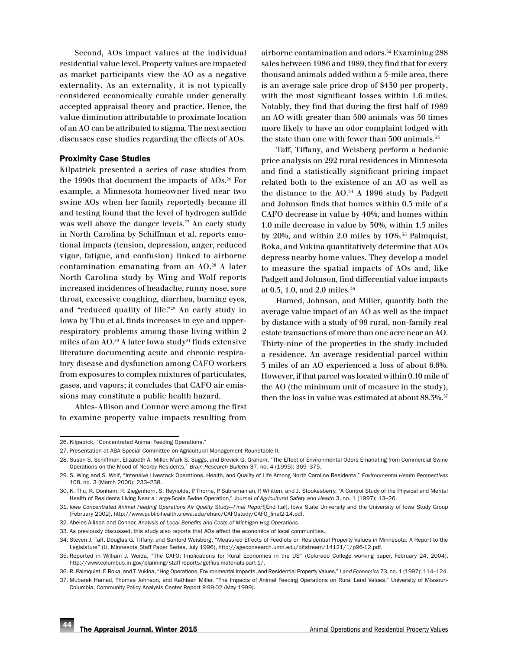Second, AOs impact values at the individual residential value level. Property values are impacted as market participants view the AO as a negative externality. As an externality, it is not typically considered economically curable under generally accepted appraisal theory and practice. Hence, the value diminution attributable to proximate location of an AO can be attributed to stigma. The next section discusses case studies regarding the effects of AOs.

#### Proximity Case Studies

Kilpatrick presented a series of case studies from the 1990s that document the impacts of AOs.26 For example, a Minnesota homeowner lived near two swine AOs when her family reportedly became ill and testing found that the level of hydrogen sulfide was well above the danger levels.<sup>27</sup> An early study in North Carolina by Schiffman et al. reports emotional impacts (tension, depression, anger, reduced vigor, fatigue, and confusion) linked to airborne contamination emanating from an AO.28 A later North Carolina study by Wing and Wolf reports increased incidences of headache, runny nose, sore throat, excessive coughing, diarrhea, burning eyes, and "reduced quality of life."29 An early study in Iowa by Thu et al. finds increases in eye and upperrespiratory problems among those living within 2 miles of an AO.30 A later Iowa study31 finds extensive literature documenting acute and chronic respiratory disease and dysfunction among CAFO workers from exposures to complex mixtures of particulates, gases, and vapors; it concludes that CAFO air emissions may constitute a public health hazard.

Ables-Allison and Connor were among the first to examine property value impacts resulting from airborne contamination and odors.32 Examining 288 sales between 1986 and 1989, they find that for every thousand animals added within a 5-mile area, there is an average sale price drop of \$430 per property, with the most significant losses within 1.6 miles. Notably, they find that during the first half of 1989 an AO with greater than 500 animals was 50 times more likely to have an odor complaint lodged with the state than one with fewer than 500 animals.<sup>35</sup>

Taff, Tiffany, and Weisberg perform a hedonic price analysis on 292 rural residences in Minnesota and find a statistically significant pricing impact related both to the existence of an AO as well as the distance to the  $AO.^{54}$  A 1996 study by Padgett and Johnson finds that homes within 0.5 mile of a CAFO decrease in value by 40%, and homes within 1.0 mile decrease in value by 30%, within 1.5 miles by 20%, and within 2.0 miles by 10%.35 Palmquist, Roka, and Vukina quantitatively determine that AOs depress nearby home values. They develop a model to measure the spatial impacts of AOs and, like Padgett and Johnson, find differential value impacts at 0.5, 1.0, and 2.0 miles.36

Hamed, Johnson, and Miller, quantify both the average value impact of an AO as well as the impact by distance with a study of 99 rural, non-family real estate transactions of more than one acre near an AO. Thirty-nine of the properties in the study included a residence. An average residential parcel within 3 miles of an AO experienced a loss of about 6.6%. However, if that parcel was located within 0.10 mile of the AO (the minimum unit of measure in the study), then the loss in value was estimated at about  $88.5\%$ .<sup>37</sup>

<sup>26.</sup> Kilpatrick, "Concentrated Animal Feeding Operations."

<sup>27.</sup> Presentation at ABA Special Committee on Agricultural Management Roundtable II.

<sup>28.</sup> Susan S. Schiffman, Elizabeth A. Miller, Mark S. Suggs, and Brevick G. Graham, "The Effect of Environmental Odors Emanating from Commercial Swine Operations on the Mood of Nearby Residents," *Brain Research Bulletin* 37, no. 4 (1995): 369–375.

<sup>29.</sup> S. Wing and S. Wolf, "Intensive Livestock Operations, Health, and Quality of Life Among North Carolina Residents," *Environmental Health Perspectives* 108, no. 3 (March 2000): 233–238.

<sup>30.</sup> K. Thu, K. Donham, R. Ziegenhorn, S. Reynolds, P. Thorne, P. Subramanian, P. Whitten, and J. Stookesberry, "A Control Study of the Physical and Mental Health of Residents Living Near a Large-Scale Swine Operation," *Journal of Agricultural Safety and Health* 3, no. 1 (1997): 13–26.

<sup>31.</sup> *Iowa Concentrated Animal Feeding Operations Air Quality Study*–*Final Report*[End Ital], Iowa State University and the University of Iowa Study Group (February 2002), [http://www.public-health.uiowa.edu/ehsrc/CAFOstudy/CAFO\\_final2-14.pdf.](http://www.public-health.uiowa.edu/ehsrc/CAFOstudy/CAFO_final2-14.pdf)

<sup>32.</sup> Abeles-Allison and Connor, *Analysis of Local Benefits and Costs of Michigan Hog Operations*.

<sup>33.</sup> As previously discussed, this study also reports that AOs affect the economics of local communities.

<sup>34.</sup> Steven J. Taff, Douglas G. Tiffany, and Sanford Weisberg, "Measured Effects of Feedlots on Residential Property Values in Minnesota: A Report to the Legislature" (U. Minnesota Staff Paper Series, July 1996),<http://ageconsearch.umn.edu/bitstream/14121/1/p96-12.pdf>.

<sup>35.</sup> Reported in William J. Weida, "The CAFO: Implications for Rural Economies in the US" (Colorado College working paper, February 24, 2004), [http://www.columbus.in.gov/planning/staff-reports/gelfius](http://www.columbus.in.gov/planning/staff-reports/gelfius-materials-part-1/)-materials-part-1/.

<sup>36.</sup> R. Palmquist, F. Roka, and T. Vukina, "Hog Operations, Environmental Impacts, and Residential Property Values," *Land Economics* 73, no. 1 (1997): 114–124.

<sup>37.</sup> Mubarek Hamed, Thomas Johnson, and Kathleen Miller, "The Impacts of Animal Feeding Operations on Rural Land Values," University of Missouri-Columbia, Community Policy Analysis Center Report R-99-02 (May 1999).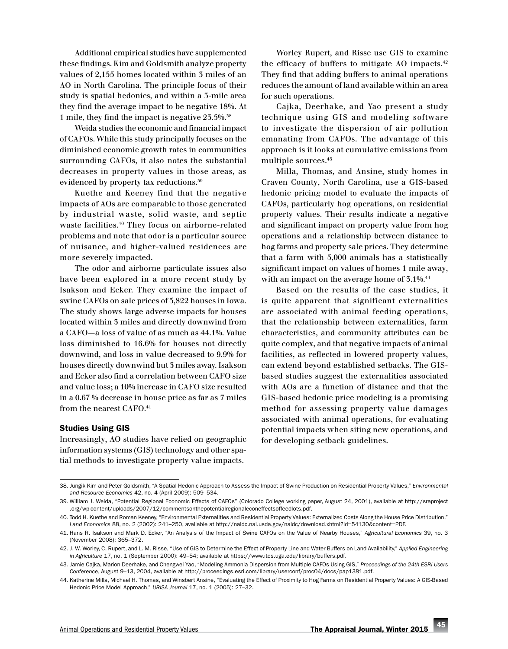Additional empirical studies have supplemented these findings. Kim and Goldsmith analyze property values of 2,155 homes located within 3 miles of an AO in North Carolina. The principle focus of their study is spatial hedonics, and within a 3-mile area they find the average impact to be negative 18%. At 1 mile, they find the impact is negative 23.5%.38

Weida studies the economic and financial impact of CAFOs. While this study principally focuses on the diminished economic growth rates in communities surrounding CAFOs, it also notes the substantial decreases in property values in those areas, as evidenced by property tax reductions.39

Kuethe and Keeney find that the negative impacts of AOs are comparable to those generated by industrial waste, solid waste, and septic waste facilities.40 They focus on airborne-related problems and note that odor is a particular source of nuisance, and higher-valued residences are more severely impacted.

The odor and airborne particulate issues also have been explored in a more recent study by Isakson and Ecker. They examine the impact of swine CAFOs on sale prices of 5,822 houses in Iowa. The study shows large adverse impacts for houses located within 3 miles and directly downwind from a CAFO—a loss of value of as much as 44.1%. Value loss diminished to 16.6% for houses not directly downwind, and loss in value decreased to 9.9% for houses directly downwind but 3 miles away. Isakson and Ecker also find a correlation between CAFO size and value loss; a 10% increase in CAFO size resulted in a 0.67 % decrease in house price as far as 7 miles from the nearest CAFO.<sup>41</sup>

#### Studies Using GIS

Increasingly, AO studies have relied on geographic information systems (GIS) technology and other spatial methods to investigate property value impacts.

Worley Rupert, and Risse use GIS to examine the efficacy of buffers to mitigate AO impacts.42 They find that adding buffers to animal operations reduces the amount of land available within an area for such operations.

Cajka, Deerhake, and Yao present a study technique using GIS and modeling software to investigate the dispersion of air pollution emanating from CAFOs. The advantage of this approach is it looks at cumulative emissions from multiple sources.43

Milla, Thomas, and Ansine, study homes in Craven County, North Carolina, use a GIS-based hedonic pricing model to evaluate the impacts of CAFOs, particularly hog operations, on residential property values. Their results indicate a negative and significant impact on property value from hog operations and a relationship between distance to hog farms and property sale prices. They determine that a farm with 5,000 animals has a statistically significant impact on values of homes 1 mile away, with an impact on the average home of  $5.1\%$ .<sup>44</sup>

Based on the results of the case studies, it is quite apparent that significant externalities are associated with animal feeding operations, that the relationship between externalities, farm characteristics, and community attributes can be quite complex, and that negative impacts of animal facilities, as reflected in lowered property values, can extend beyond established setbacks. The GISbased studies suggest the externalities associated with AOs are a function of distance and that the GIS-based hedonic price modeling is a promising method for assessing property value damages associated with animal operations, for evaluating potential impacts when siting new operations, and for developing setback guidelines.

<sup>38.</sup> Jungik Kim and Peter Goldsmith, "A Spatial Hedonic Approach to Assess the Impact of Swine Production on Residential Property Values," *Environmental and Resource Economics* 42, no. 4 (April 2009): 509–534.

<sup>39.</sup> William J. Weida, "Potential Regional Economic Effects of CAFOs" (Colorado College working paper, August 24, 2001), available at [http://sraproject](http://sraproject.org/wp-content/uploads/2007/12/commentsonthepotentialregionaleconeffectsoffeedlots.pdf) [.org/wp-content/uploads/2007/12/commentsonthepotentialregionaleconeffectsoffeedlots.pdf.](http://sraproject.org/wp-content/uploads/2007/12/commentsonthepotentialregionaleconeffectsoffeedlots.pdf)

<sup>40.</sup> Todd H. Kuethe and Roman Keeney, "Environmental Externalities and Residential Property Values: Externalized Costs Along the House Price Distribution," Land Economics 88, no. 2 (2002): 241–250, available at<http://naldc.nal.usda.gov/naldc/download.xhtml?id=54130&content=PDF.>

<sup>41.</sup> Hans R. Isakson and Mark D. Ecker, "An Analysis of the Impact of Swine CAFOs on the Value of Nearby Houses," *Agricultural Economics* 39, no. 3 (November 2008): 365–372.

<sup>42.</sup> J. W. Worley, C. Rupert, and L. M. Risse, "Use of GIS to Determine the Effect of Property Line and Water Buffers on Land Availability," *Applied Engineering in Agriculture* 17, no. 1 (September 2000): 49–54; available at [https://www.itos.uga.edu/library/buffers.pdf.](https://www.itos.uga.edu/library/buffers.pdf)

<sup>43.</sup> Jamie Cajka, Marion Deerhake, and Chengwei Yao, "Modeling Ammonia Dispersion from Multiple CAFOs Using GIS," *Proceedings of the 24th ESRI Users Conference*, August 9–13, 2004, available at [http://proceedings.esri.com/library/userconf/proc04/docs/pap1381.pdf.](http://proceedings.esri.com/library/userconf/proc04/docs/pap1381.pdf)

<sup>44.</sup> Katherine Milla, Michael H. Thomas, and Winsbert Ansine, "Evaluating the Effect of Proximity to Hog Farms on Residential Property Values: A GIS-Based Hedonic Price Model Approach," *URISA Journal* 17, no. 1 (2005): 27–32.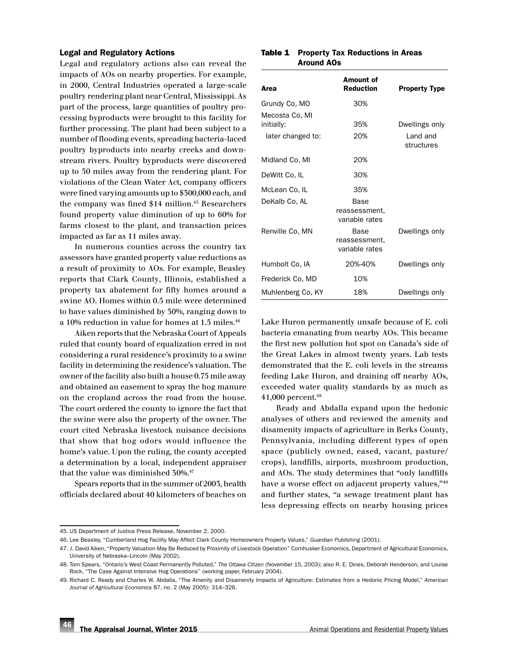#### Legal and Regulatory Actions

Legal and regulatory actions also can reveal the impacts of AOs on nearby properties. For example, in 2000, Central Industries operated a large-scale poultry rendering plant near Central, Mississippi. As part of the process, large quantities of poultry processing byproducts were brought to this facility for further processing. The plant had been subject to a number of flooding events, spreading bacteria-laced poultry byproducts into nearby creeks and downstream rivers. Poultry byproducts were discovered up to 50 miles away from the rendering plant. For violations of the Clean Water Act, company officers were fined varying amounts up to \$300,000 each, and the company was fined \$14 million.<sup>45</sup> Researchers found property value diminution of up to 60% for farms closest to the plant, and transaction prices impacted as far as 11 miles away.

In numerous counties across the country tax assessors have granted property value reductions as a result of proximity to AOs. For example, Beasley reports that Clark County, Illinois, established a property tax abatement for fifty homes around a swine AO. Homes within 0.5 mile were determined to have values diminished by 30%, ranging down to a 10% reduction in value for homes at 1.5 miles.<sup>46</sup>

Aiken reports that the Nebraska Court of Appeals ruled that county board of equalization erred in not considering a rural residence's proximity to a swine facility in determining the residence's valuation. The owner of the facility also built a house 0.75 mile away and obtained an easement to spray the hog manure on the cropland across the road from the house. The court ordered the county to ignore the fact that the swine were also the property of the owner. The court cited Nebraska livestock nuisance decisions that show that hog odors would influence the home's value. Upon the ruling, the county accepted a determination by a local, independent appraiser that the value was diminished 30%.47

Spears reports that in the summer of 2003, health officials declared about 40 kilometers of beaches on

| <b>Table 1</b> Property Tax Reductions in Areas |
|-------------------------------------------------|
| <b>Around AOs</b>                               |

| Area                                              | Amount of<br><b>Reduction</b>           | <b>Property Type</b>                     |  |
|---------------------------------------------------|-----------------------------------------|------------------------------------------|--|
| Grundy Co, MO                                     | 30%                                     |                                          |  |
| Mecosta Co, MI<br>initially:<br>later changed to: | 35%<br>20%                              | Dwellings only<br>Land and<br>structures |  |
| Midland Co, MI                                    | 20%                                     |                                          |  |
| DeWitt Co, IL                                     | 30%                                     |                                          |  |
| McLean Co, IL                                     | 35%                                     |                                          |  |
| DeKalb Co, AL                                     | Base<br>reassessment,<br>variable rates |                                          |  |
| Renville Co, MN                                   | Base<br>reassessment.<br>variable rates | Dwellings only                           |  |
| Humbolt Co, IA                                    | 20%-40%                                 | Dwellings only                           |  |
| Frederick Co, MD                                  | 10%                                     |                                          |  |
| Muhlenberg Co, KY                                 | 18%                                     | Dwellings only                           |  |

Lake Huron permanently unsafe because of E. coli bacteria emanating from nearby AOs. This became the first new pollution hot spot on Canada's side of the Great Lakes in almost twenty years. Lab tests demonstrated that the E. coli levels in the streams feeding Lake Huron, and draining off nearby AOs, exceeded water quality standards by as much as 41,000 percent.48

Ready and Abdalla expand upon the hedonic analyses of others and reviewed the amenity and disamenity impacts of agriculture in Berks County, Pennsylvania, including different types of open space (publicly owned, eased, vacant, pasture/ crops), landfills, airports, mushroom production, and AOs. The study determines that "only landfills have a worse effect on adjacent property values,"<sup>49</sup> and further states, "a sewage treatment plant has less depressing effects on nearby housing prices

<sup>45.</sup> US Department of Justice Press Release, November 2, 2000.

<sup>46.</sup> Lee Beasley, "Cumberland Hog Facility May Affect Clark County Homeowners Property Values," *Guardian Publishing* (2001).

<sup>47.</sup> J. David Aiken, "Property Valuation May Be Reduced by Proximity of Livestock Operation" Cornhusker Economics, Department of Agricultural Economics, University of Nebraska–Lincoln (May 2002).

<sup>48.</sup> Tom Spears, "Ontario's West Coast Permanently Polluted," *The Ottawa Citizen* (November 15, 2003); also R. E. Dines, Deborah Henderson, and Louise Rock, "The Case Against Intensive Hog Operations" (working paper, February 2004).

<sup>49.</sup> Richard C. Ready and Charles W. Abdalla, "The Amenity and Disamenity Impacts of Agriculture: Estimates from a Hedonic Pricing Model," *American Journal of Agricultural Economics* 87, no. 2 (May 2005): 314–326.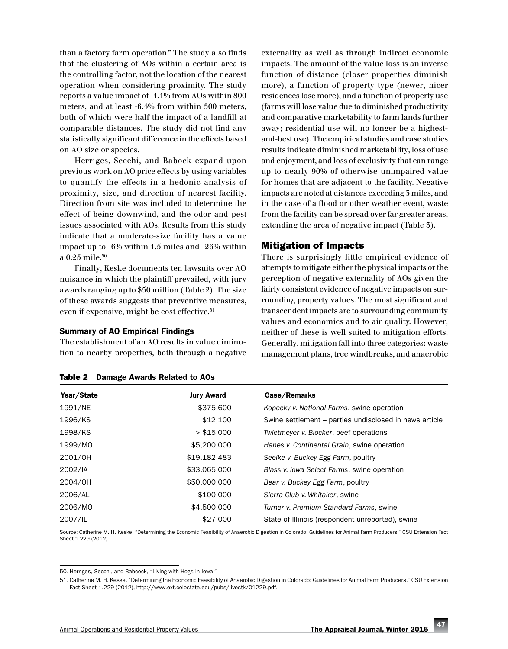than a factory farm operation." The study also finds that the clustering of AOs within a certain area is the controlling factor, not the location of the nearest operation when considering proximity. The study reports a value impact of -4.1% from AOs within 800 meters, and at least -6.4% from within 500 meters, both of which were half the impact of a landfill at comparable distances. The study did not find any statistically significant difference in the effects based on AO size or species.

Herriges, Secchi, and Babock expand upon previous work on AO price effects by using variables to quantify the effects in a hedonic analysis of proximity, size, and direction of nearest facility. Direction from site was included to determine the effect of being downwind, and the odor and pest issues associated with AOs. Results from this study indicate that a moderate-size facility has a value impact up to -6% within 1.5 miles and -26% within a 0.25 mile. $50$ 

Finally, Keske documents ten lawsuits over AO nuisance in which the plaintiff prevailed, with jury awards ranging up to \$50 million (Table 2). The size of these awards suggests that preventive measures, even if expensive, might be cost effective.<sup>51</sup>

#### Summary of AO Empirical Findings

Table 2 Damage Awards Related to AOs

The establishment of an AO results in value diminution to nearby properties, both through a negative externality as well as through indirect economic impacts. The amount of the value loss is an inverse function of distance (closer properties diminish more), a function of property type (newer, nicer residences lose more), and a function of property use (farms will lose value due to diminished productivity and comparative marketability to farm lands further away; residential use will no longer be a highestand-best use). The empirical studies and case studies results indicate diminished marketability, loss of use and enjoyment, and loss of exclusivity that can range up to nearly 90% of otherwise unimpaired value for homes that are adjacent to the facility. Negative impacts are noted at distances exceeding 3 miles, and in the case of a flood or other weather event, waste from the facility can be spread over far greater areas, extending the area of negative impact (Table 3).

#### Mitigation of Impacts

There is surprisingly little empirical evidence of attempts to mitigate either the physical impacts or the perception of negative externality of AOs given the fairly consistent evidence of negative impacts on surrounding property values. The most significant and transcendent impacts are to surrounding community values and economics and to air quality. However, neither of these is well suited to mitigation efforts. Generally, mitigation fall into three categories: waste management plans, tree windbreaks, and anaerobic

| <b>Jury Award</b> | Case/Remarks                                           |
|-------------------|--------------------------------------------------------|
| \$375,600         | Kopecky v. National Farms, swine operation             |
| \$12,100          | Swine settlement - parties undisclosed in news article |
| > \$15,000        | Twietmeyer v. Blocker, beef operations                 |
| \$5,200,000       | Hanes v. Continental Grain, swine operation            |
| \$19,182,483      | Seelke v. Buckey Egg Farm, poultry                     |
| \$33,065,000      | Blass v. Iowa Select Farms, swine operation            |
| \$50,000,000      | Bear v. Buckey Egg Farm, poultry                       |
| \$100,000         | Sierra Club v. Whitaker, swine                         |
| \$4,500,000       | Turner v. Premium Standard Farms, swine                |
| \$27,000          | State of Illinois (respondent unreported), swine       |
|                   |                                                        |

Source: Catherine M. H. Keske, "Determining the Economic Feasibility of Anaerobic Digestion in Colorado: Guidelines for Animal Farm Producers," CSU Extension Fact Sheet 1.229 (2012).

51. Catherine M. H. Keske, "Determining the Economic Feasibility of Anaerobic Digestion in Colorado: Guidelines for Animal Farm Producers," CSU Extension Fact Sheet 1.229 (2012), [http://www.ext.colostate.edu/pubs/livestk/01229.pdf.](http://www.ext.colostate.edu/pubs/livestk/01229.pdf)

<sup>50.</sup> Herriges, Secchi, and Babcock, "Living with Hogs in Iowa."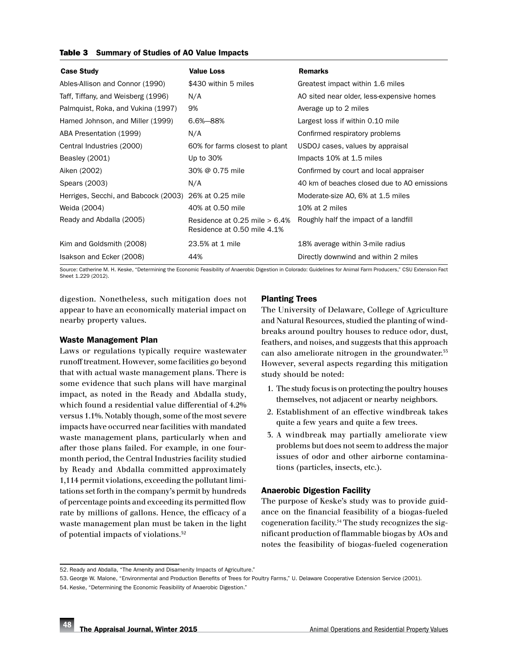#### Table 3 Summary of Studies of AO Value Impacts

| <b>Value Loss</b>                                               | <b>Remarks</b>                              |
|-----------------------------------------------------------------|---------------------------------------------|
| \$430 within 5 miles                                            | Greatest impact within 1.6 miles            |
| N/A                                                             | AO sited near older, less-expensive homes   |
| 9%                                                              | Average up to 2 miles                       |
| $6.6\% - 88\%$                                                  | Largest loss if within 0.10 mile            |
| N/A                                                             | Confirmed respiratory problems              |
| 60% for farms closest to plant                                  | USDOJ cases, values by appraisal            |
| Up to 30%                                                       | Impacts 10% at 1.5 miles                    |
| 30% @ 0.75 mile                                                 | Confirmed by court and local appraiser      |
| N/A                                                             | 40 km of beaches closed due to AO emissions |
| Herriges, Secchi, and Babcock (2003) 26% at 0.25 mile           | Moderate-size AO, 6% at 1.5 miles           |
| 40% at 0.50 mile                                                | 10% at 2 miles                              |
| Residence at 0.25 mile $> 6.4\%$<br>Residence at 0.50 mile 4.1% | Roughly half the impact of a landfill       |
| 23.5% at 1 mile                                                 | 18% average within 3-mile radius            |
| 44%                                                             | Directly downwind and within 2 miles        |
|                                                                 |                                             |

Source: Catherine M. H. Keske, "Determining the Economic Feasibility of Anaerobic Digestion in Colorado: Guidelines for Animal Farm Producers," CSU Extension Fact Sheet 1.229 (2012).

digestion. Nonetheless, such mitigation does not appear to have an economically material impact on nearby property values.

#### Waste Management Plan

Laws or regulations typically require wastewater runoff treatment. However, some facilities go beyond that with actual waste management plans. There is some evidence that such plans will have marginal impact, as noted in the Ready and Abdalla study, which found a residential value differential of 4.2% versus 1.1%. Notably though, some of the most severe impacts have occurred near facilities with mandated waste management plans, particularly when and after those plans failed. For example, in one fourmonth period, the Central Industries facility studied by Ready and Abdalla committed approximately 1,114 permit violations, exceeding the pollutant limitations set forth in the company's permit by hundreds of percentage points and exceeding its permitted flow rate by millions of gallons. Hence, the efficacy of a waste management plan must be taken in the light of potential impacts of violations.52

## Planting Trees

The University of Delaware, College of Agriculture and Natural Resources, studied the planting of windbreaks around poultry houses to reduce odor, dust, feathers, and noises, and suggests that this approach can also ameliorate nitrogen in the groundwater.<sup>55</sup> However, several aspects regarding this mitigation study should be noted:

- 1. The study focus is on protecting the poultry houses themselves, not adjacent or nearby neighbors.
- 2. Establishment of an effective windbreak takes quite a few years and quite a few trees.
- 3. A windbreak may partially ameliorate view problems but does not seem to address the major issues of odor and other airborne contaminations (particles, insects, etc.).

### Anaerobic Digestion Facility

The purpose of Keske's study was to provide guidance on the financial feasibility of a biogas-fueled cogeneration facility.54 The study recognizes the significant production of flammable biogas by AOs and notes the feasibility of biogas-fueled cogeneration

<sup>52.</sup> Ready and Abdalla, "The Amenity and Disamenity Impacts of Agriculture."

<sup>53.</sup> George W. Malone, "Environmental and Production Benefits of Trees for Poultry Farms," U. Delaware Cooperative Extension Service (2001).

<sup>54.</sup> Keske, "Determining the Economic Feasibility of Anaerobic Digestion."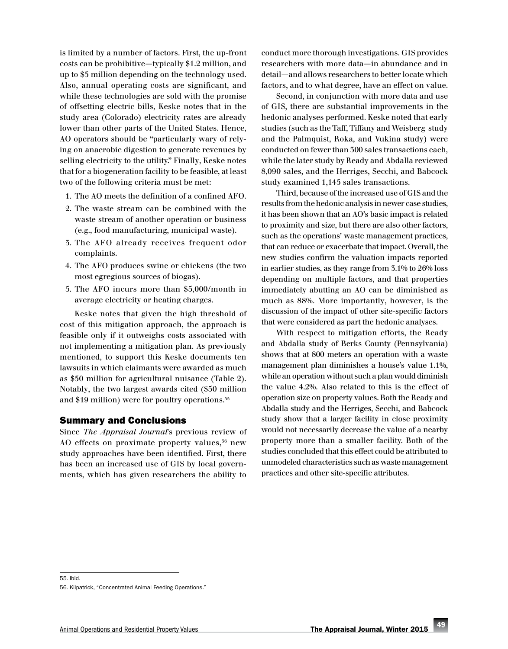is limited by a number of factors. First, the up-front costs can be prohibitive—typically \$1.2 million, and up to \$5 million depending on the technology used. Also, annual operating costs are significant, and while these technologies are sold with the promise of offsetting electric bills, Keske notes that in the study area (Colorado) electricity rates are already lower than other parts of the United States. Hence, AO operators should be "particularly wary of relying on anaerobic digestion to generate revenues by selling electricity to the utility." Finally, Keske notes that for a biogeneration facility to be feasible, at least two of the following criteria must be met:

- 1. The AO meets the definition of a confined AFO.
- 2. The waste stream can be combined with the waste stream of another operation or business (e.g., food manufacturing, municipal waste).
- 3. The AFO already receives frequent odor complaints.
- 4. The AFO produces swine or chickens (the two most egregious sources of biogas).
- 5. The AFO incurs more than \$5,000/month in average electricity or heating charges.

Keske notes that given the high threshold of cost of this mitigation approach, the approach is feasible only if it outweighs costs associated with not implementing a mitigation plan. As previously mentioned, to support this Keske documents ten lawsuits in which claimants were awarded as much as \$50 million for agricultural nuisance (Table 2). Notably, the two largest awards cited (\$50 million and \$19 million) were for poultry operations.55

#### Summary and Conclusions

Since *The Appraisal Journal*'s previous review of AO effects on proximate property values,  $56$  new study approaches have been identified. First, there has been an increased use of GIS by local governments, which has given researchers the ability to

conduct more thorough investigations. GIS provides researchers with more data—in abundance and in detail—and allows researchers to better locate which factors, and to what degree, have an effect on value.

Second, in conjunction with more data and use of GIS, there are substantial improvements in the hedonic analyses performed. Keske noted that early studies (such as the Taff, Tiffany and Weisberg study and the Palmquist, Roka, and Vukina study) were conducted on fewer than 300 sales transactions each, while the later study by Ready and Abdalla reviewed 8,090 sales, and the Herriges, Secchi, and Babcock study examined 1,145 sales transactions.

Third, because of the increased use of GIS and the results from the hedonic analysis in newer case studies, it has been shown that an AO's basic impact is related to proximity and size, but there are also other factors, such as the operations' waste management practices, that can reduce or exacerbate that impact. Overall, the new studies confirm the valuation impacts reported in earlier studies, as they range from 3.1% to 26% loss depending on multiple factors, and that properties immediately abutting an AO can be diminished as much as 88%. More importantly, however, is the discussion of the impact of other site-specific factors that were considered as part the hedonic analyses.

With respect to mitigation efforts, the Ready and Abdalla study of Berks County (Pennsylvania) shows that at 800 meters an operation with a waste management plan diminishes a house's value 1.1%, while an operation without such a plan would diminish the value 4.2%. Also related to this is the effect of operation size on property values. Both the Ready and Abdalla study and the Herriges, Secchi, and Babcock study show that a larger facility in close proximity would not necessarily decrease the value of a nearby property more than a smaller facility. Both of the studies concluded that this effect could be attributed to unmodeled characteristics such as waste management practices and other site-specific attributes.

<sup>55.</sup> Ibid.

<sup>56.</sup> Kilpatrick, "Concentrated Animal Feeding Operations."